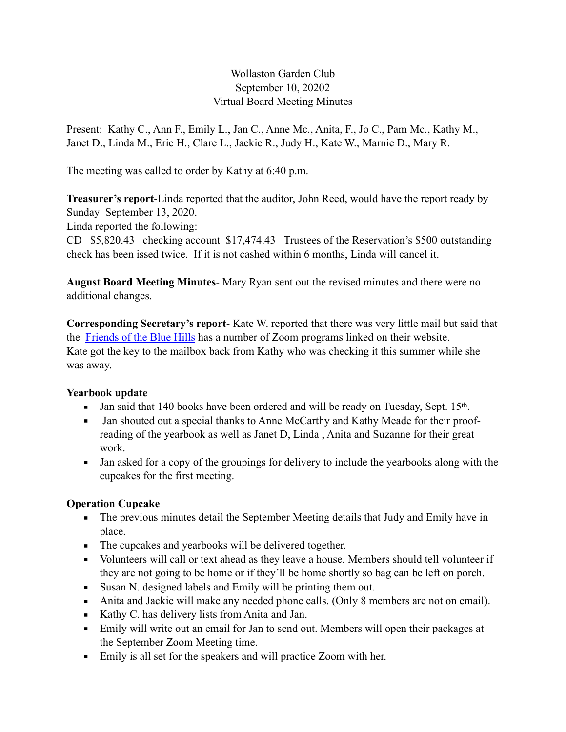# Wollaston Garden Club September 10, 20202 Virtual Board Meeting Minutes

Present: Kathy C., Ann F., Emily L., Jan C., Anne Mc., Anita, F., Jo C., Pam Mc., Kathy M., Janet D., Linda M., Eric H., Clare L., Jackie R., Judy H., Kate W., Marnie D., Mary R.

The meeting was called to order by Kathy at 6:40 p.m.

**Treasurer's report**-Linda reported that the auditor, John Reed, would have the report ready by Sunday September 13, 2020.

Linda reported the following:

CD \$5,820.43 checking account \$17,474.43 Trustees of the Reservation's \$500 outstanding check has been issed twice. If it is not cashed within 6 months, Linda will cancel it.

**August Board Meeting Minutes**- Mary Ryan sent out the revised minutes and there were no additional changes.

**Corresponding Secretary's report**- Kate W. reported that there was very little mail but said that the [Friends of the Blue Hills](https://friendsofthebluehills.org/news-events/calendar/) has a number of Zoom programs linked on their website. Kate got the key to the mailbox back from Kathy who was checking it this summer while she was away.

# **Yearbook update**

- **I** Jan said that 140 books have been ordered and will be ready on Tuesday, Sept. 15th.
- Jan shouted out a special thanks to Anne McCarthy and Kathy Meade for their proofreading of the yearbook as well as Janet D, Linda , Anita and Suzanne for their great work.
- Jan asked for a copy of the groupings for delivery to include the yearbooks along with the cupcakes for the first meeting.

# **Operation Cupcake**

- **•** The previous minutes detail the September Meeting details that Judy and Emily have in place.
- The cupcakes and yearbooks will be delivered together.
- Volunteers will call or text ahead as they leave a house. Members should tell volunteer if they are not going to be home or if they'll be home shortly so bag can be left on porch.
- Susan N. designed labels and Emily will be printing them out.
- Anita and Jackie will make any needed phone calls. (Only 8 members are not on email).
- Kathy C. has delivery lists from Anita and Jan.
- Emily will write out an email for Jan to send out. Members will open their packages at the September Zoom Meeting time.
- **Emily is all set for the speakers and will practice Zoom with her.**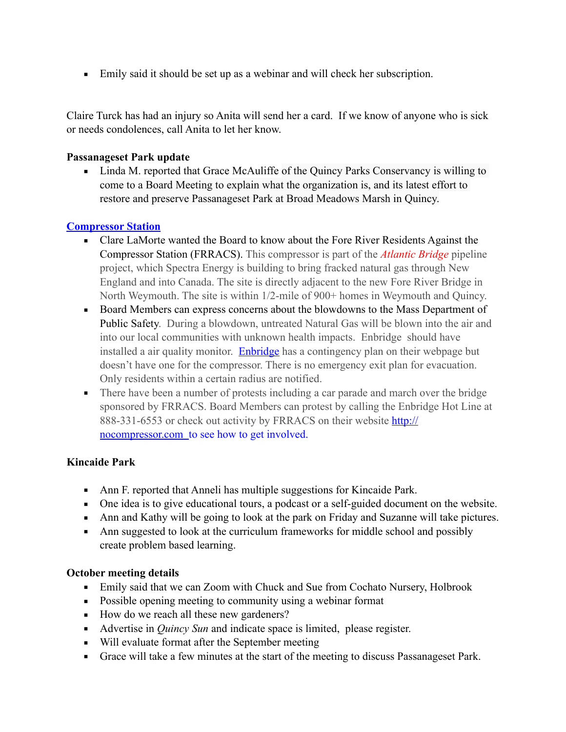■ Emily said it should be set up as a webinar and will check her subscription.

Claire Turck has had an injury so Anita will send her a card. If we know of anyone who is sick or needs condolences, call Anita to let her know.

#### **Passanageset Park update**

• Linda M. reported that Grace McAuliffe of the Quincy Parks Conservancy is willing to come to a Board Meeting to explain what the organization is, and its latest effort to restore and preserve Passanageset Park at Broad Meadows Marsh in Quincy.

# **[Compressor Station](https://www.nocompressor.com/home)**

- Clare LaMorte wanted the Board to know about the Fore River Residents Against the Compressor Station (FRRACS). This compressor is part of the *[Atlantic Bridge](https://www.nocompressor.com/spectra-plans)* pipeline project, which Spectra Energy is building to bring fracked natural gas through New England and into Canada. The site is directly adjacent to the new Fore River Bridge in North Weymouth. The site is within 1/2-mile of 900+ homes in Weymouth and Quincy.
- Board Members can express concerns about the blowdowns to the Mass Department of Public Safety. During a blowdown, untreated Natural Gas will be blown into the air and into our local communities with unknown health impacts. Enbridge should have installed a air quality monitor. [Enbridge](https://www.enbridge.com/) has a contingency plan on their webpage but doesn't have one for the compressor. There is no emergency exit plan for evacuation. Only residents within a certain radius are notified.
- **•** There have been a number of protests including a car parade and march over the bridge sponsored by FRRACS. Board Members can protest by calling the Enbridge Hot Line at 888-331-6553 or check out activity by FRRACS on their website [http://](http://nocompressor.com) [nocompressor.com](http://nocompressor.com) to see how to get involved.

# **Kincaide Park**

- Ann F. reported that Anneli has multiple suggestions for Kincaide Park.
- One idea is to give educational tours, a podcast or a self-guided document on the website.
- Ann and Kathy will be going to look at the park on Friday and Suzanne will take pictures.
- Ann suggested to look at the curriculum frameworks for middle school and possibly create problem based learning.

#### **October meeting details**

- **Emily said that we can Zoom with Chuck and Sue from Cochato Nursery, Holbrook**
- Possible opening meeting to community using a webinar format
- How do we reach all these new gardeners?
- Advertise in *Quincy Sun* and indicate space is limited, please register.
- Will evaluate format after the September meeting
- Grace will take a few minutes at the start of the meeting to discuss Passanageset Park.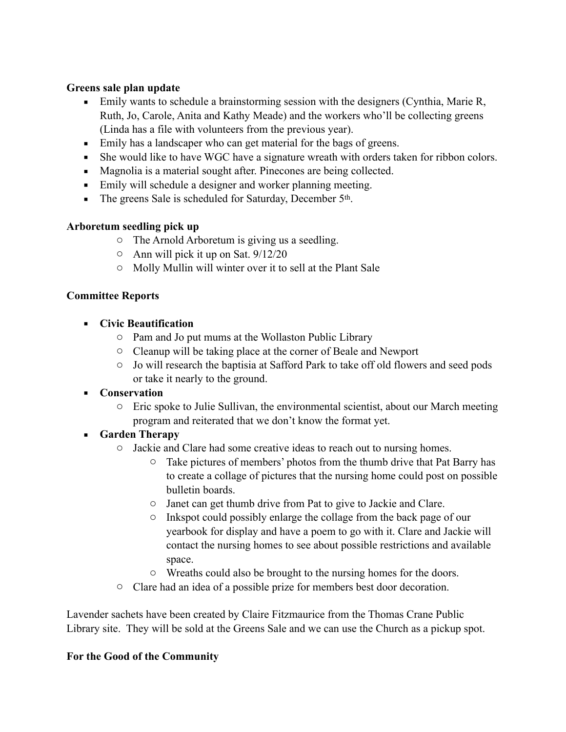#### **Greens sale plan update**

- Emily wants to schedule a brainstorming session with the designers (Cynthia, Marie R, Ruth, Jo, Carole, Anita and Kathy Meade) and the workers who'll be collecting greens (Linda has a file with volunteers from the previous year).
- Emily has a landscaper who can get material for the bags of greens.
- She would like to have WGC have a signature wreath with orders taken for ribbon colors.
- Magnolia is a material sought after. Pinecones are being collected.
- Emily will schedule a designer and worker planning meeting.
- The greens Sale is scheduled for Saturday, December 5<sup>th</sup>.

# **Arboretum seedling pick up**

- o The Arnold Arboretum is giving us a seedling.
- o Ann will pick it up on Sat. 9/12/20
- o Molly Mullin will winter over it to sell at the Plant Sale

# **Committee Reports**

- **Civic Beautification** 
	- o Pam and Jo put mums at the Wollaston Public Library
	- o Cleanup will be taking place at the corner of Beale and Newport
	- o Jo will research the baptisia at Safford Park to take off old flowers and seed pods or take it nearly to the ground.
- **Conservation** 
	- o Eric spoke to Julie Sullivan, the environmental scientist, about our March meeting program and reiterated that we don't know the format yet.

# ▪ **Garden Therapy**

- o Jackie and Clare had some creative ideas to reach out to nursing homes.
	- o Take pictures of members' photos from the thumb drive that Pat Barry has to create a collage of pictures that the nursing home could post on possible bulletin boards.
	- o Janet can get thumb drive from Pat to give to Jackie and Clare.
	- o Inkspot could possibly enlarge the collage from the back page of our yearbook for display and have a poem to go with it. Clare and Jackie will contact the nursing homes to see about possible restrictions and available space.
	- o Wreaths could also be brought to the nursing homes for the doors.
- o Clare had an idea of a possible prize for members best door decoration.

Lavender sachets have been created by Claire Fitzmaurice from the Thomas Crane Public Library site. They will be sold at the Greens Sale and we can use the Church as a pickup spot.

# **For the Good of the Community**